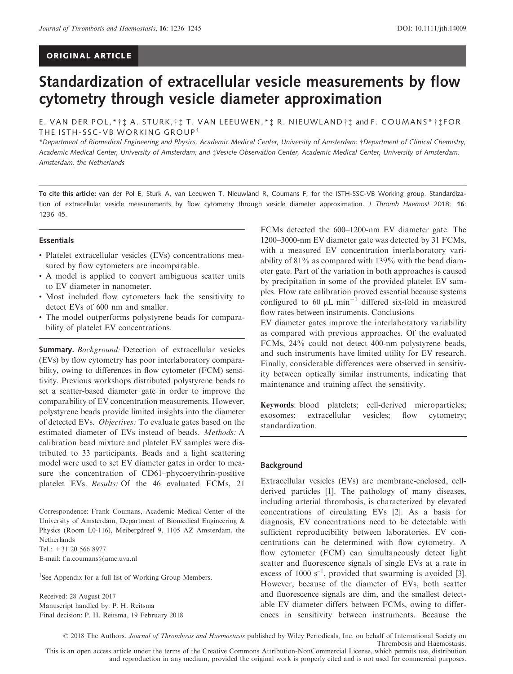# ORIGINAL ARTICLE

# Standardization of extracellular vesicle measurements by flow cytometry through vesicle diameter approximation

E. VAN DER POL,\* †  $\ddagger$  A. STURK, †  $\ddagger$  T. VAN LEEUWEN, \*  $\ddagger$  R. NIEUWLAND†  $\ddagger$  and F. COUMANS\* †  $\ddagger$  FOR THE ISTH-SSC-VB WORKING GROUP<sup>1</sup>

\*Department of Biomedical Engineering and Physics, Academic Medical Center, University of Amsterdam; †Department of Clinical Chemistry, Academic Medical Center, University of Amsterdam; and ‡Vesicle Observation Center, Academic Medical Center, University of Amsterdam, Amsterdam, the Netherlands

To cite this article: van der Pol E, Sturk A, van Leeuwen T, Nieuwland R, Coumans F, for the ISTH-SSC-VB Working group. Standardization of extracellular vesicle measurements by flow cytometry through vesicle diameter approximation. J Thromb Haemost 2018; 16: 1236–45.

### **Essentials**

- Platelet extracellular vesicles (EVs) concentrations measured by flow cytometers are incomparable.
- A model is applied to convert ambiguous scatter units to EV diameter in nanometer.
- Most included flow cytometers lack the sensitivity to detect EVs of 600 nm and smaller.
- The model outperforms polystyrene beads for comparability of platelet EV concentrations.

Summary. Background: Detection of extracellular vesicles (EVs) by flow cytometry has poor interlaboratory comparability, owing to differences in flow cytometer (FCM) sensitivity. Previous workshops distributed polystyrene beads to set a scatter-based diameter gate in order to improve the comparability of EV concentration measurements. However, polystyrene beads provide limited insights into the diameter of detected EVs. Objectives: To evaluate gates based on the estimated diameter of EVs instead of beads. Methods: A calibration bead mixture and platelet EV samples were distributed to 33 participants. Beads and a light scattering model were used to set EV diameter gates in order to measure the concentration of CD61–phycoerythrin-positive platelet EVs. Results: Of the 46 evaluated FCMs, 21

Correspondence: Frank Coumans, Academic Medical Center of the University of Amsterdam, Department of Biomedical Engineering & Physics (Room L0-116), Meibergdreef 9, 1105 AZ Amsterdam, the Netherlands Tel.: +31 20 566 8977

E-mail: f.a.coumans@amc.uva.nl

<sup>1</sup>See Appendix for a full list of Working Group Members.

Received: 28 August 2017 Manuscript handled by: P. H. Reitsma Final decision: P. H. Reitsma, 19 February 2018 FCMs detected the 600–1200-nm EV diameter gate. The 1200–3000-nm EV diameter gate was detected by 31 FCMs, with a measured EV concentration interlaboratory variability of 81% as compared with 139% with the bead diameter gate. Part of the variation in both approaches is caused by precipitation in some of the provided platelet EV samples. Flow rate calibration proved essential because systems configured to 60  $\mu$ L min<sup>-1</sup> differed six-fold in measured flow rates between instruments. Conclusions

EV diameter gates improve the interlaboratory variability as compared with previous approaches. Of the evaluated FCMs, 24% could not detect 400-nm polystyrene beads, and such instruments have limited utility for EV research. Finally, considerable differences were observed in sensitivity between optically similar instruments, indicating that maintenance and training affect the sensitivity.

Keywords: blood platelets; cell-derived microparticles; exosomes; extracellular vesicles; flow cytometry; standardization.

#### Background

Extracellular vesicles (EVs) are membrane-enclosed, cellderived particles [1]. The pathology of many diseases, including arterial thrombosis, is characterized by elevated concentrations of circulating EVs [2]. As a basis for diagnosis, EV concentrations need to be detectable with sufficient reproducibility between laboratories. EV concentrations can be determined with flow cytometry. A flow cytometer (FCM) can simultaneously detect light scatter and fluorescence signals of single EVs at a rate in excess of 1000  $s^{-1}$ , provided that swarming is avoided [3]. However, because of the diameter of EVs, both scatter and fluorescence signals are dim, and the smallest detectable EV diameter differs between FCMs, owing to differences in sensitivity between instruments. Because the

© 2018 The Authors. Journal of Thrombosis and Haemostasis published by Wiley Periodicals, Inc. on behalf of International Society on Thrombosis and Haemostasis. This is an open access article under the terms of the [Creative Commons Attribution-NonCommercial](http://creativecommons.org/licenses/by-nc/4.0/) License, which permits use, distribution

and reproduction in any medium, provided the original work is properly cited and is not used for commercial purposes.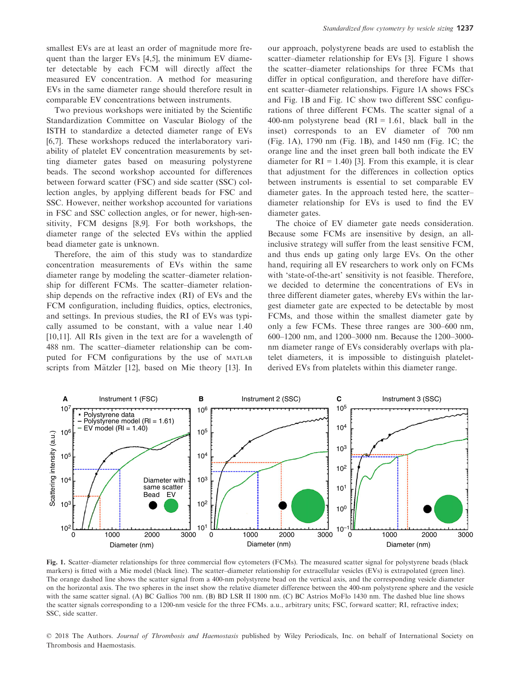smallest EVs are at least an order of magnitude more frequent than the larger EVs [4,5], the minimum EV diameter detectable by each FCM will directly affect the measured EV concentration. A method for measuring EVs in the same diameter range should therefore result in comparable EV concentrations between instruments.

Two previous workshops were initiated by the Scientific Standardization Committee on Vascular Biology of the ISTH to standardize a detected diameter range of EVs [6,7]. These workshops reduced the interlaboratory variability of platelet EV concentration measurements by setting diameter gates based on measuring polystyrene beads. The second workshop accounted for differences between forward scatter (FSC) and side scatter (SSC) collection angles, by applying different beads for FSC and SSC. However, neither workshop accounted for variations in FSC and SSC collection angles, or for newer, high-sensitivity, FCM designs [8,9]. For both workshops, the diameter range of the selected EVs within the applied bead diameter gate is unknown.

Therefore, the aim of this study was to standardize concentration measurements of EVs within the same diameter range by modeling the scatter–diameter relationship for different FCMs. The scatter–diameter relationship depends on the refractive index (RI) of EVs and the FCM configuration, including fluidics, optics, electronics, and settings. In previous studies, the RI of EVs was typically assumed to be constant, with a value near 1.40 [10,11]. All RIs given in the text are for a wavelength of 488 nm. The scatter–diameter relationship can be computed for FCM configurations by the use of MATLAB scripts from Mätzler [12], based on Mie theory [13]. In our approach, polystyrene beads are used to establish the scatter–diameter relationship for EVs [3]. Figure 1 shows the scatter–diameter relationships for three FCMs that differ in optical configuration, and therefore have different scatter–diameter relationships. Figure 1A shows FSCs and Fig. 1B and Fig. 1C show two different SSC configurations of three different FCMs. The scatter signal of a 400-nm polystyrene bead  $(RI = 1.61, black ball in the$ inset) corresponds to an EV diameter of 700 nm (Fig. 1A), 1790 nm (Fig. 1B), and 1450 nm (Fig. 1C; the orange line and the inset green ball both indicate the EV diameter for  $RI = 1.40$  [3]. From this example, it is clear that adjustment for the differences in collection optics between instruments is essential to set comparable EV diameter gates. In the approach tested here, the scatter– diameter relationship for EVs is used to find the EV diameter gates.

The choice of EV diameter gate needs consideration. Because some FCMs are insensitive by design, an allinclusive strategy will suffer from the least sensitive FCM, and thus ends up gating only large EVs. On the other hand, requiring all EV researchers to work only on FCMs with 'state-of-the-art' sensitivity is not feasible. Therefore, we decided to determine the concentrations of EVs in three different diameter gates, whereby EVs within the largest diameter gate are expected to be detectable by most FCMs, and those within the smallest diameter gate by only a few FCMs. These three ranges are 300–600 nm, 600–1200 nm, and 1200–3000 nm. Because the 1200–3000 nm diameter range of EVs considerably overlaps with platelet diameters, it is impossible to distinguish plateletderived EVs from platelets within this diameter range.



Fig. 1. Scatter–diameter relationships for three commercial flow cytometers (FCMs). The measured scatter signal for polystyrene beads (black markers) is fitted with a Mie model (black line). The scatter–diameter relationship for extracellular vesicles (EVs) is extrapolated (green line). The orange dashed line shows the scatter signal from a 400-nm polystyrene bead on the vertical axis, and the corresponding vesicle diameter on the horizontal axis. The two spheres in the inset show the relative diameter difference between the 400-nm polystyrene sphere and the vesicle with the same scatter signal. (A) BC Gallios 700 nm. (B) BD LSR II 1800 nm. (C) BC Astrios MoFlo 1430 nm. The dashed blue line shows the scatter signals corresponding to a 1200-nm vesicle for the three FCMs. a.u., arbitrary units; FSC, forward scatter; RI, refractive index; SSC, side scatter.

© 2018 The Authors. Journal of Thrombosis and Haemostasis published by Wiley Periodicals, Inc. on behalf of International Society on Thrombosis and Haemostasis.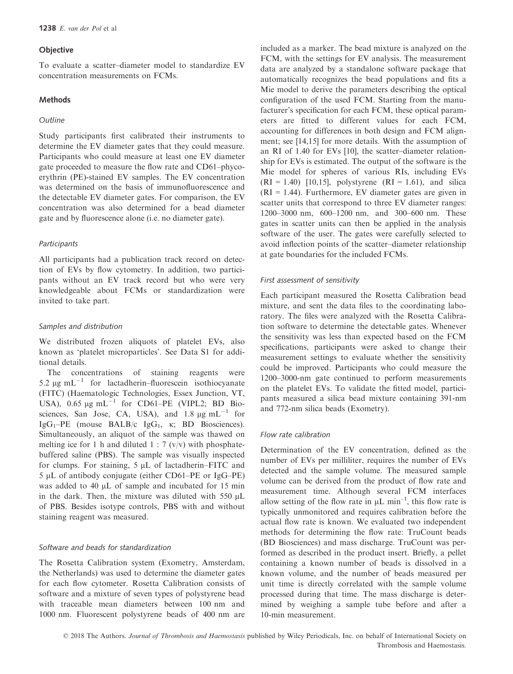## **Objective**

To evaluate a scatter–diameter model to standardize EV concentration measurements on FCMs.

# **Methods**

## **Outline**

Study participants first calibrated their instruments to determine the EV diameter gates that they could measure. Participants who could measure at least one EV diameter gate proceeded to measure the flow rate and CD61–phycoerythrin (PE)-stained EV samples. The EV concentration was determined on the basis of immunofluorescence and the detectable EV diameter gates. For comparison, the EV concentration was also determined for a bead diameter gate and by fluorescence alone (i.e. no diameter gate).

# **Participants**

All participants had a publication track record on detection of EVs by flow cytometry. In addition, two participants without an EV track record but who were very knowledgeable about FCMs or standardization were invited to take part.

# Samples and distribution

We distributed frozen aliquots of platelet EVs, also known as 'platelet microparticles'. See Data S1 for additional details.

The concentrations of staining reagents were 5.2  $\mu$ g mL<sup>-1</sup> for lactadherin–fluorescein isothiocyanate (FITC) (Haematologic Technologies, Essex Junction, VT, USA),  $0.65 \mu g \text{ mL}^{-1}$  for CD61–PE (VIPL2; BD Biosciences, San Jose, CA, USA), and  $1.8 \mu g \text{ mL}^{-1}$  for  $IgG_1-PE$  (mouse BALB/c  $IgG_1$ ,  $\kappa$ ; BD Biosciences). Simultaneously, an aliquot of the sample was thawed on melting ice for 1 h and diluted  $1 : 7 \frac{(v/v)}{v}$  with phosphatebuffered saline (PBS). The sample was visually inspected for clumps. For staining,  $5 \mu L$  of lactadherin–FITC and  $5 \mu L$  of antibody conjugate (either CD61–PE or IgG–PE) was added to 40  $\mu$ L of sample and incubated for 15 min in the dark. Then, the mixture was diluted with  $550 \mu L$ of PBS. Besides isotype controls, PBS with and without staining reagent was measured.

# Software and beads for standardization

The Rosetta Calibration system (Exometry, Amsterdam, the Netherlands) was used to determine the diameter gates for each flow cytometer. Rosetta Calibration consists of software and a mixture of seven types of polystyrene bead with traceable mean diameters between 100 nm and 1000 nm. Fluorescent polystyrene beads of 400 nm are included as a marker. The bead mixture is analyzed on the FCM, with the settings for EV analysis. The measurement data are analyzed by a standalone software package that automatically recognizes the bead populations and fits a Mie model to derive the parameters describing the optical configuration of the used FCM. Starting from the manufacturer's specification for each FCM, these optical parameters are fitted to different values for each FCM, accounting for differences in both design and FCM alignment; see [14,15] for more details. With the assumption of an RI of 1.40 for EVs [10], the scatter–diameter relationship for EVs is estimated. The output of the software is the Mie model for spheres of various RIs, including EVs  $(RI = 1.40)$  [10,15], polystyrene  $(RI = 1.61)$ , and silica  $(RI = 1.44)$ . Furthermore, EV diameter gates are given in scatter units that correspond to three EV diameter ranges: 1200–3000 nm, 600–1200 nm, and 300–600 nm. These gates in scatter units can then be applied in the analysis software of the user. The gates were carefully selected to avoid inflection points of the scatter–diameter relationship at gate boundaries for the included FCMs.

# First assessment of sensitivity

Each participant measured the Rosetta Calibration bead mixture, and sent the data files to the coordinating laboratory. The files were analyzed with the Rosetta Calibration software to determine the detectable gates. Whenever the sensitivity was less than expected based on the FCM specifications, participants were asked to change their measurement settings to evaluate whether the sensitivity could be improved. Participants who could measure the 1200–3000-nm gate continued to perform measurements on the platelet EVs. To validate the fitted model, participants measured a silica bead mixture containing 391-nm and 772-nm silica beads (Exometry).

## Flow rate calibration

Determination of the EV concentration, defined as the number of EVs per milliliter, requires the number of EVs detected and the sample volume. The measured sample volume can be derived from the product of flow rate and measurement time. Although several FCM interfaces allow setting of the flow rate in  $\mu L$  min<sup>-1</sup>, this flow rate is typically unmonitored and requires calibration before the actual flow rate is known. We evaluated two independent methods for determining the flow rate: TruCount beads (BD Biosciences) and mass discharge. TruCount was performed as described in the product insert. Briefly, a pellet containing a known number of beads is dissolved in a known volume, and the number of beads measured per unit time is directly correlated with the sample volume processed during that time. The mass discharge is determined by weighing a sample tube before and after a 10-min measurement.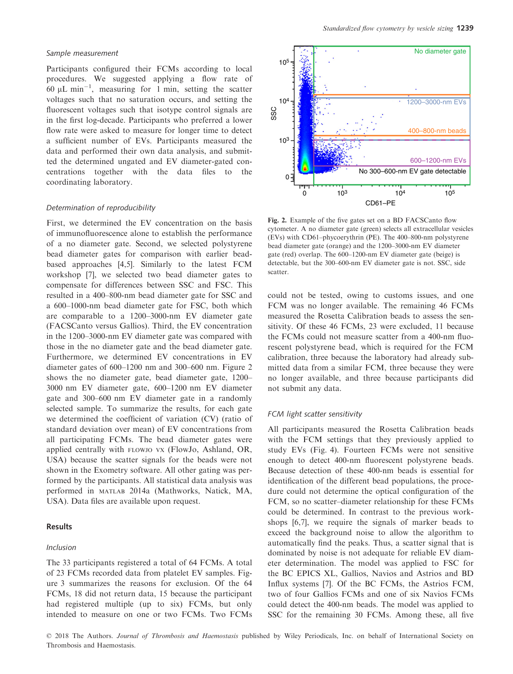### Sample measurement

Participants configured their FCMs according to local procedures. We suggested applying a flow rate of 60  $\mu$ L min<sup>-1</sup>, measuring for 1 min, setting the scatter voltages such that no saturation occurs, and setting the fluorescent voltages such that isotype control signals are in the first log-decade. Participants who preferred a lower flow rate were asked to measure for longer time to detect a sufficient number of EVs. Participants measured the data and performed their own data analysis, and submitted the determined ungated and EV diameter-gated concentrations together with the data files to the coordinating laboratory.

## Determination of reproducibility

First, we determined the EV concentration on the basis of immunofluorescence alone to establish the performance of a no diameter gate. Second, we selected polystyrene bead diameter gates for comparison with earlier beadbased approaches [4,5]. Similarly to the latest FCM workshop [7], we selected two bead diameter gates to compensate for differences between SSC and FSC. This resulted in a 400–800-nm bead diameter gate for SSC and a 600–1000-nm bead diameter gate for FSC, both which are comparable to a 1200–3000-nm EV diameter gate (FACSCanto versus Gallios). Third, the EV concentration in the 1200–3000-nm EV diameter gate was compared with those in the no diameter gate and the bead diameter gate. Furthermore, we determined EV concentrations in EV diameter gates of 600–1200 nm and 300–600 nm. Figure 2 shows the no diameter gate, bead diameter gate, 1200– 3000 nm EV diameter gate, 600–1200 nm EV diameter gate and 300–600 nm EV diameter gate in a randomly selected sample. To summarize the results, for each gate we determined the coefficient of variation (CV) (ratio of standard deviation over mean) of EV concentrations from all participating FCMs. The bead diameter gates were applied centrally with FLOWJO VX (FlowJo, Ashland, OR, USA) because the scatter signals for the beads were not shown in the Exometry software. All other gating was performed by the participants. All statistical data analysis was performed in MATLAB 2014a (Mathworks, Natick, MA, USA). Data files are available upon request.

# Results

#### Inclusion

The 33 participants registered a total of 64 FCMs. A total of 23 FCMs recorded data from platelet EV samples. Figure 3 summarizes the reasons for exclusion. Of the 64 FCMs, 18 did not return data, 15 because the participant had registered multiple (up to six) FCMs, but only intended to measure on one or two FCMs. Two FCMs



Fig. 2. Example of the five gates set on a BD FACSCanto flow cytometer. A no diameter gate (green) selects all extracellular vesicles (EVs) with CD61–phycoerythrin (PE). The 400–800-nm polystyrene bead diameter gate (orange) and the 1200–3000-nm EV diameter gate (red) overlap. The 600–1200-nm EV diameter gate (beige) is detectable, but the 300–600-nm EV diameter gate is not. SSC, side scatter.

could not be tested, owing to customs issues, and one FCM was no longer available. The remaining 46 FCMs measured the Rosetta Calibration beads to assess the sensitivity. Of these 46 FCMs, 23 were excluded, 11 because the FCMs could not measure scatter from a 400-nm fluorescent polystyrene bead, which is required for the FCM calibration, three because the laboratory had already submitted data from a similar FCM, three because they were no longer available, and three because participants did not submit any data.

#### FCM light scatter sensitivity

All participants measured the Rosetta Calibration beads with the FCM settings that they previously applied to study EVs (Fig. 4). Fourteen FCMs were not sensitive enough to detect 400-nm fluorescent polystyrene beads. Because detection of these 400-nm beads is essential for identification of the different bead populations, the procedure could not determine the optical configuration of the FCM, so no scatter–diameter relationship for these FCMs could be determined. In contrast to the previous workshops [6,7], we require the signals of marker beads to exceed the background noise to allow the algorithm to automatically find the peaks. Thus, a scatter signal that is dominated by noise is not adequate for reliable EV diameter determination. The model was applied to FSC for the BC EPICS XL, Gallios, Navios and Astrios and BD Influx systems [7]. Of the BC FCMs, the Astrios FCM, two of four Gallios FCMs and one of six Navios FCMs could detect the 400-nm beads. The model was applied to SSC for the remaining 30 FCMs. Among these, all five

© 2018 The Authors. Journal of Thrombosis and Haemostasis published by Wiley Periodicals, Inc. on behalf of International Society on Thrombosis and Haemostasis.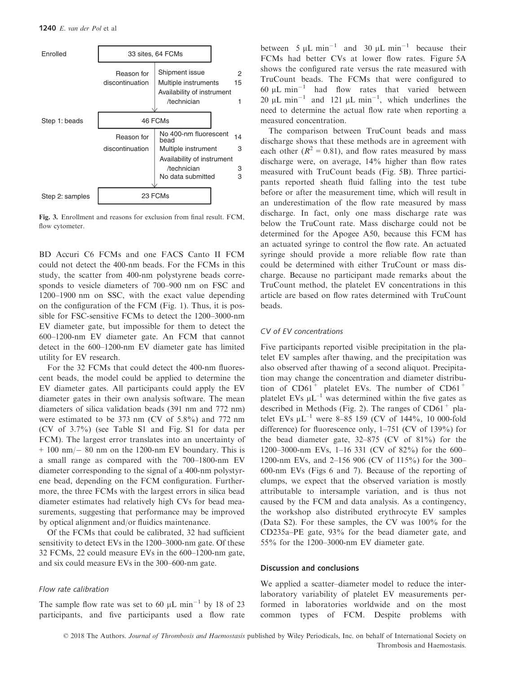

Fig. 3. Enrollment and reasons for exclusion from final result. FCM, flow cytometer.

BD Accuri C6 FCMs and one FACS Canto II FCM could not detect the 400-nm beads. For the FCMs in this study, the scatter from 400-nm polystyrene beads corresponds to vesicle diameters of 700–900 nm on FSC and 1200–1900 nm on SSC, with the exact value depending on the configuration of the FCM (Fig. 1). Thus, it is possible for FSC-sensitive FCMs to detect the 1200–3000-nm EV diameter gate, but impossible for them to detect the 600–1200-nm EV diameter gate. An FCM that cannot detect in the 600–1200-nm EV diameter gate has limited utility for EV research.

For the 32 FCMs that could detect the 400-nm fluorescent beads, the model could be applied to determine the EV diameter gates. All participants could apply the EV diameter gates in their own analysis software. The mean diameters of silica validation beads (391 nm and 772 nm) were estimated to be 373 nm (CV of 5.8%) and 772 nm (CV of 3.7%) (see Table S1 and Fig. S1 for data per FCM). The largest error translates into an uncertainty of  $+ 100$  nm $- 80$  nm on the 1200-nm EV boundary. This is a small range as compared with the 700–1800-nm EV diameter corresponding to the signal of a 400-nm polystyrene bead, depending on the FCM configuration. Furthermore, the three FCMs with the largest errors in silica bead diameter estimates had relatively high CVs for bead measurements, suggesting that performance may be improved by optical alignment and/or fluidics maintenance.

Of the FCMs that could be calibrated, 32 had sufficient sensitivity to detect EVs in the 1200–3000-nm gate. Of these 32 FCMs, 22 could measure EVs in the 600–1200-nm gate, and six could measure EVs in the 300–600-nm gate.

## Flow rate calibration

The sample flow rate was set to 60  $\mu$ L min<sup>-1</sup> by 18 of 23 participants, and five participants used a flow rate between  $5 \mu L \text{ min}^{-1}$  and  $30 \mu L \text{ min}^{-1}$  because their FCMs had better CVs at lower flow rates. Figure 5A shows the configured rate versus the rate measured with TruCount beads. The FCMs that were configured to 60  $\mu$ L min<sup>-1</sup> had flow rates that varied between 20  $\mu$ L min<sup>-1</sup> and 121  $\mu$ L min<sup>-1</sup>, which underlines the need to determine the actual flow rate when reporting a measured concentration.

The comparison between TruCount beads and mass discharge shows that these methods are in agreement with each other ( $R^2 = 0.81$ ), and flow rates measured by mass discharge were, on average, 14% higher than flow rates measured with TruCount beads (Fig. 5B). Three participants reported sheath fluid falling into the test tube before or after the measurement time, which will result in an underestimation of the flow rate measured by mass discharge. In fact, only one mass discharge rate was below the TruCount rate. Mass discharge could not be determined for the Apogee A50, because this FCM has an actuated syringe to control the flow rate. An actuated syringe should provide a more reliable flow rate than could be determined with either TruCount or mass discharge. Because no participant made remarks about the TruCount method, the platelet EV concentrations in this article are based on flow rates determined with TruCount beads.

## CV of EV concentrations

Five participants reported visible precipitation in the platelet EV samples after thawing, and the precipitation was also observed after thawing of a second aliquot. Precipitation may change the concentration and diameter distribution of  $CD61<sup>+</sup>$  platelet EVs. The number of  $CD61<sup>+</sup>$ platelet EVs  $\mu L^{-1}$  was determined within the five gates as described in Methods (Fig. 2). The ranges of  $CD61<sup>+</sup>$  platelet EVs  $\mu L^{-1}$  were 8–85 159 (CV of 144%, 10 000-fold difference) for fluorescence only, 1–751 (CV of 139%) for the bead diameter gate, 32–875 (CV of 81%) for the 1200–3000-nm EVs, 1–16 331 (CV of 82%) for the 600– 1200-nm EVs, and 2–156 906 (CV of 115%) for the 300– 600-nm EVs (Figs 6 and 7). Because of the reporting of clumps, we expect that the observed variation is mostly attributable to intersample variation, and is thus not caused by the FCM and data analysis. As a contingency, the workshop also distributed erythrocyte EV samples (Data S2). For these samples, the CV was 100% for the CD235a–PE gate, 93% for the bead diameter gate, and 55% for the 1200–3000-nm EV diameter gate.

## Discussion and conclusions

We applied a scatter–diameter model to reduce the interlaboratory variability of platelet EV measurements performed in laboratories worldwide and on the most common types of FCM. Despite problems with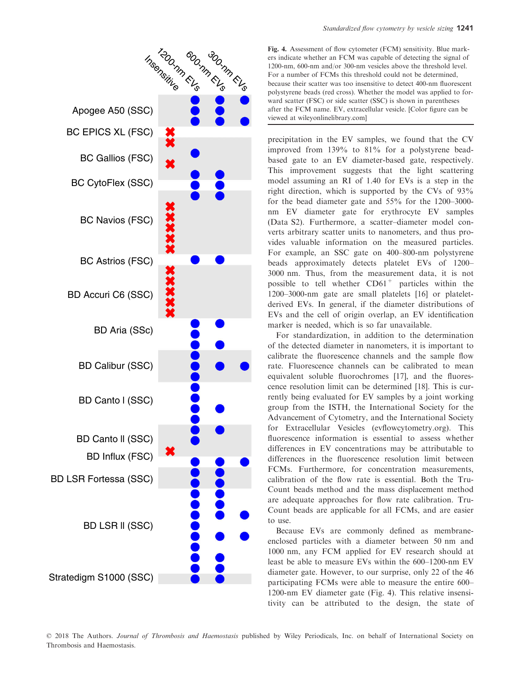

Fig. 4. Assessment of flow cytometer (FCM) sensitivity. Blue markers indicate whether an FCM was capable of detecting the signal of 1200-nm, 600-nm and/or 300-nm vesicles above the threshold level. For a number of FCMs this threshold could not be determined, because their scatter was too insensitive to detect 400-nm fluorescent polystyrene beads (red cross). Whether the model was applied to forward scatter (FSC) or side scatter (SSC) is shown in parentheses after the FCM name. EV, extracellular vesicle. [Color figure can be viewed at wileyonlinelibrary.com]

precipitation in the EV samples, we found that the CV improved from 139% to 81% for a polystyrene beadbased gate to an EV diameter-based gate, respectively. This improvement suggests that the light scattering model assuming an RI of 1.40 for EVs is a step in the right direction, which is supported by the CVs of 93% for the bead diameter gate and 55% for the 1200–3000 nm EV diameter gate for erythrocyte EV samples (Data S2). Furthermore, a scatter–diameter model converts arbitrary scatter units to nanometers, and thus provides valuable information on the measured particles. For example, an SSC gate on 400–800-nm polystyrene beads approximately detects platelet EVs of 1200– 3000 nm. Thus, from the measurement data, it is not possible to tell whether  $CD61<sup>+</sup>$  particles within the 1200–3000-nm gate are small platelets [16] or plateletderived EVs. In general, if the diameter distributions of EVs and the cell of origin overlap, an EV identification marker is needed, which is so far unavailable.

For standardization, in addition to the determination of the detected diameter in nanometers, it is important to calibrate the fluorescence channels and the sample flow rate. Fluorescence channels can be calibrated to mean equivalent soluble fluorochromes [17], and the fluorescence resolution limit can be determined [18]. This is currently being evaluated for EV samples by a joint working group from the ISTH, the International Society for the Advancement of Cytometry, and the International Society for Extracellular Vesicles (evflowcytometry.org). This fluorescence information is essential to assess whether differences in EV concentrations may be attributable to differences in the fluorescence resolution limit between FCMs. Furthermore, for concentration measurements, calibration of the flow rate is essential. Both the Tru-Count beads method and the mass displacement method are adequate approaches for flow rate calibration. Tru-Count beads are applicable for all FCMs, and are easier to use.

Because EVs are commonly defined as membraneenclosed particles with a diameter between 50 nm and 1000 nm, any FCM applied for EV research should at least be able to measure EVs within the 600–1200-nm EV diameter gate. However, to our surprise, only 22 of the 46 participating FCMs were able to measure the entire 600– 1200-nm EV diameter gate (Fig. 4). This relative insensitivity can be attributed to the design, the state of

© 2018 The Authors. Journal of Thrombosis and Haemostasis published by Wiley Periodicals, Inc. on behalf of International Society on Thrombosis and Haemostasis.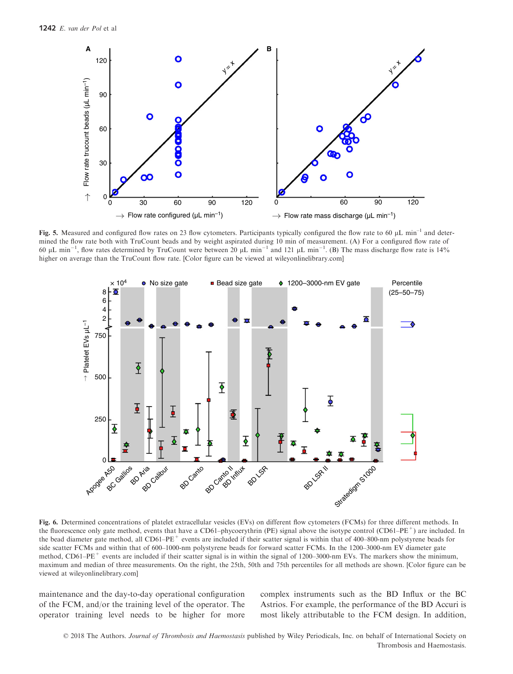

Fig. 5. Measured and configured flow rates on 23 flow cytometers. Participants typically configured the flow rate to 60  $\mu$ L min<sup>-1</sup> and determined the flow rate both with TruCount beads and by weight aspirated during 10 min of measurement. (A) For a configured flow rate of 60 µL min<sup>-1</sup>, flow rates determined by TruCount were between 20 µL min<sup>-1</sup> and 121 µL min<sup>-1</sup>. (B) The mass discharge flow rate is 14% higher on average than the TruCount flow rate. [Color figure can be viewed at wileyonlinelibrary.com]



Fig. 6. Determined concentrations of platelet extracellular vesicles (EVs) on different flow cytometers (FCMs) for three different methods. In the fluorescence only gate method, events that have a CD61–phycoerythrin (PE) signal above the isotype control (CD61–PE<sup>+</sup>) are included. In the bead diameter gate method, all CD61–PE<sup>+</sup> events are included if their scatter signal is within that of 400–800-nm polystyrene beads for side scatter FCMs and within that of 600–1000-nm polystyrene beads for forward scatter FCMs. In the 1200–3000-nm EV diameter gate method, CD61–PE<sup>+</sup> events are included if their scatter signal is in within the signal of 1200–3000-nm EVs. The markers show the minimum, maximum and median of three measurements. On the right, the 25th, 50th and 75th percentiles for all methods are shown. [Color figure can be viewed at wileyonlinelibrary.com]

maintenance and the day-to-day operational configuration of the FCM, and/or the training level of the operator. The operator training level needs to be higher for more complex instruments such as the BD Influx or the BC Astrios. For example, the performance of the BD Accuri is most likely attributable to the FCM design. In addition,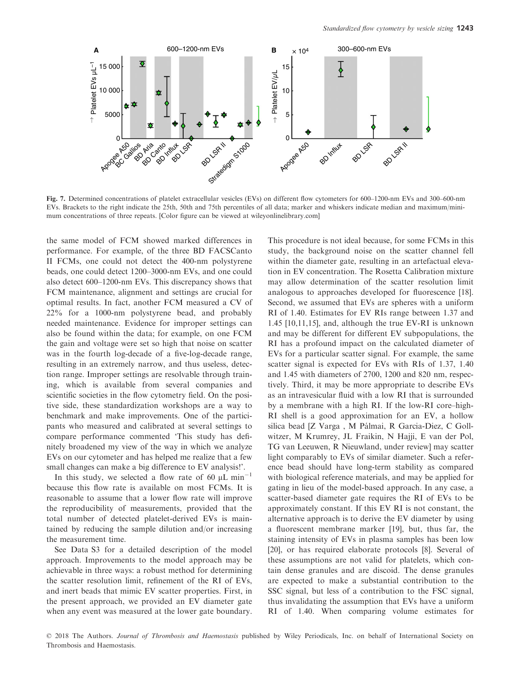

Fig. 7. Determined concentrations of platelet extracellular vesicles (EVs) on different flow cytometers for 600–1200-nm EVs and 300–600-nm EVs. Brackets to the right indicate the 25th, 50th and 75th percentiles of all data; marker and whiskers indicate median and maximum/minimum concentrations of three repeats. [Color figure can be viewed at wileyonlinelibrary.com]

the same model of FCM showed marked differences in performance. For example, of the three BD FACSCanto II FCMs, one could not detect the 400-nm polystyrene beads, one could detect 1200–3000-nm EVs, and one could also detect 600–1200-nm EVs. This discrepancy shows that FCM maintenance, alignment and settings are crucial for optimal results. In fact, another FCM measured a CV of 22% for a 1000-nm polystyrene bead, and probably needed maintenance. Evidence for improper settings can also be found within the data; for example, on one FCM the gain and voltage were set so high that noise on scatter was in the fourth log-decade of a five-log-decade range, resulting in an extremely narrow, and thus useless, detection range. Improper settings are resolvable through training, which is available from several companies and scientific societies in the flow cytometry field. On the positive side, these standardization workshops are a way to benchmark and make improvements. One of the participants who measured and calibrated at several settings to compare performance commented 'This study has definitely broadened my view of the way in which we analyze EVs on our cytometer and has helped me realize that a few small changes can make a big difference to EV analysis!'.

In this study, we selected a flow rate of 60  $\mu$ L min<sup>-1</sup> because this flow rate is available on most FCMs. It is reasonable to assume that a lower flow rate will improve the reproducibility of measurements, provided that the total number of detected platelet-derived EVs is maintained by reducing the sample dilution and/or increasing the measurement time.

See Data S3 for a detailed description of the model approach. Improvements to the model approach may be achievable in three ways: a robust method for determining the scatter resolution limit, refinement of the RI of EVs, and inert beads that mimic EV scatter properties. First, in the present approach, we provided an EV diameter gate when any event was measured at the lower gate boundary.

This procedure is not ideal because, for some FCMs in this study, the background noise on the scatter channel fell within the diameter gate, resulting in an artefactual elevation in EV concentration. The Rosetta Calibration mixture may allow determination of the scatter resolution limit analogous to approaches developed for fluorescence [18]. Second, we assumed that EVs are spheres with a uniform RI of 1.40. Estimates for EV RIs range between 1.37 and 1.45 [10,11,15], and, although the true EV-RI is unknown and may be different for different EV subpopulations, the RI has a profound impact on the calculated diameter of EVs for a particular scatter signal. For example, the same scatter signal is expected for EVs with RIs of 1.37, 1.40 and 1.45 with diameters of 2700, 1200 and 820 nm, respectively. Third, it may be more appropriate to describe EVs as an intravesicular fluid with a low RI that is surrounded by a membrane with a high RI. If the low-RI core–high-RI shell is a good approximation for an EV, a hollow silica bead [Z Varga, M Pálmai, R Garcia-Diez, C Gollwitzer, M Krumrey, JL Fraikin, N Hajji, E van der Pol, TG van Leeuwen, R Nieuwland, under review] may scatter light comparably to EVs of similar diameter. Such a reference bead should have long-term stability as compared with biological reference materials, and may be applied for gating in lieu of the model-based approach. In any case, a scatter-based diameter gate requires the RI of EVs to be approximately constant. If this EV RI is not constant, the alternative approach is to derive the EV diameter by using a fluorescent membrane marker [19], but, thus far, the staining intensity of EVs in plasma samples has been low [20], or has required elaborate protocols [8]. Several of these assumptions are not valid for platelets, which contain dense granules and are discoid. The dense granules are expected to make a substantial contribution to the SSC signal, but less of a contribution to the FSC signal, thus invalidating the assumption that EVs have a uniform RI of 1.40. When comparing volume estimates for

© 2018 The Authors. Journal of Thrombosis and Haemostasis published by Wiley Periodicals, Inc. on behalf of International Society on Thrombosis and Haemostasis.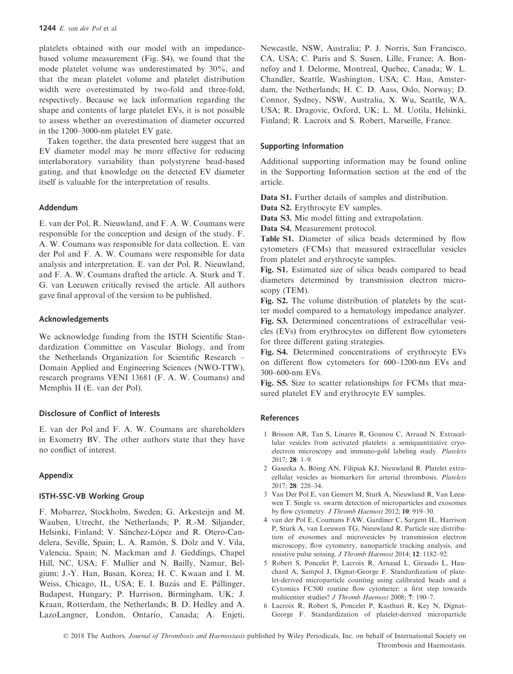platelets obtained with our model with an impedancebased volume measurement (Fig. S4), we found that the mode platelet volume was underestimated by 30%, and that the mean platelet volume and platelet distribution width were overestimated by two-fold and three-fold, respectively. Because we lack information regarding the shape and contents of large platelet EVs, it is not possible to assess whether an overestimation of diameter occurred in the 1200–3000-nm platelet EV gate.

Taken together, the data presented here suggest that an EV diameter model may be more effective for reducing interlaboratory variability than polystyrene bead-based gating, and that knowledge on the detected EV diameter itself is valuable for the interpretation of results.

# Addendum

E. van der Pol, R. Nieuwland, and F. A. W. Coumans were responsible for the conception and design of the study. F. A. W. Coumans was responsible for data collection. E. van der Pol and F. A. W. Coumans were responsible for data analysis and interpretation. E. van der Pol, R. Nieuwland, and F. A. W. Coumans drafted the article. A. Sturk and T. G. van Leeuwen critically revised the article. All authors gave final approval of the version to be published.

# Acknowledgements

We acknowledge funding from the ISTH Scientific Standardization Committee on Vascular Biology, and from the Netherlands Organization for Scientific Research – Domain Applied and Engineering Sciences (NWO-TTW), research programs VENI 13681 (F. A. W. Coumans) and Memphis II (E. van der Pol).

# Disclosure of Conflict of Interests

E. van der Pol and F. A. W. Coumans are shareholders in Exometry BV. The other authors state that they have no conflict of interest.

## Appendix

# ISTH-SSC-VB Working Group

F. Mobarrez, Stockholm, Sweden; G. Arkesteijn and M. Wauben, Utrecht, the Netherlands; P. R.-M. Siljander, Helsinki, Finland; V. Sánchez-López and R. Otero-Candelera, Seville, Spain; L. A. Ramón, S. Dolz and V. Vila, Valencia, Spain; N. Mackman and J. Geddings, Chapel Hill, NC, USA; F. Mullier and N. Bailly, Namur, Belgium; J.-Y. Han, Busan, Korea; H. C. Kwaan and I. M. Weiss, Chicago, IL, USA; E. I. Buzás and E. Pállinger, Budapest, Hungary; P. Harrison, Birmingham, UK; J. Kraan, Rotterdam, the Netherlands; B. D. Hedley and A. LazoLangner, London, Ontario, Canada; A. Enjeti, Newcastle, NSW, Australia; P. J. Norris, San Francisco, CA, USA; C. Paris and S. Susen, Lille, France; A. Bonnefoy and I. Delorme, Montreal, Quebec, Canada; W. L. Chandler, Seattle, Washington, USA; C. Hau, Amsterdam, the Netherlands; H. C. D. Aass, Oslo, Norway; D. Connor, Sydney, NSW, Australia, X. Wu, Seattle, WA, USA; R. Dragovic, Oxford, UK; L. M. Uotila, Helsinki, Finland; R. Lacroix and S. Robert, Marseille, France.

# Supporting Information

Additional supporting information may be found online in the Supporting Information section at the end of the article.

Data S1. Further details of samples and distribution.

Data S2. Erythrocyte EV samples.

Data S3. Mie model fitting and extrapolation.

Data S4. Measurement protocol.

Table S1. Diameter of silica beads determined by flow cytometers (FCMs) that measured extracellular vesicles from platelet and erythrocyte samples.

Fig. S1. Estimated size of silica beads compared to bead diameters determined by transmission electron microscopy (TEM).

Fig. S2. The volume distribution of platelets by the scatter model compared to a hematology impedance analyzer.

Fig. S3. Determined concentrations of extracellular vesicles (EVs) from erythrocytes on different flow cytometers for three different gating strategies.

Fig. S4. Determined concentrations of erythrocyte EVs on different flow cytometers for 600–1200-nm EVs and 300–600-nm EVs.

Fig. S5. Size to scatter relationships for FCMs that measured platelet EV and erythrocyte EV samples.

### References

- 1 Brisson AR, Tan S, Linares R, Gounou C, Arraud N. Extracellular vesicles from activated platelets: a semiquantitative cryoelectron microscopy and immuno-gold labeling study. Platelets 2017; 28: 1–9.
- 2 Gasecka A, Böing AN, Filipiak KJ, Nieuwland R. Platelet extracellular vesicles as biomarkers for arterial thrombosis. Platelets 2017; 28: 228–34.
- 3 Van Der Pol E, van Gemert M, Sturk A, Nieuwland R, Van Leeuwen T. Single vs. swarm detection of microparticles and exosomes by flow cytometry. J Thromb Haemost 2012; 10: 919–30.
- 4 van der Pol E, Coumans FAW, Gardiner C, Sargent IL, Harrison P, Sturk A, van Leeuwen TG, Nieuwland R. Particle size distribution of exosomes and microvesicles by transmission electron microscopy, flow cytometry, nanoparticle tracking analysis, and resistive pulse sensing. J Thromb Haemost 2014; 12: 1182–92.
- 5 Robert S, Poncelet P, Lacroix R, Arnaud L, Giraudo L, Hauchard A, Sampol J, Dignat-George F. Standardization of platelet-derived microparticle counting using calibrated beads and a Cytomics FC500 routine flow cytometer: a first step towards multicenter studies? J Thromb Haemost 2008; 7: 190–7.
- 6 Lacroix R, Robert S, Poncelet P, Kasthuri R, Key N, Dignat-George F. Standardization of platelet-derived microparticle